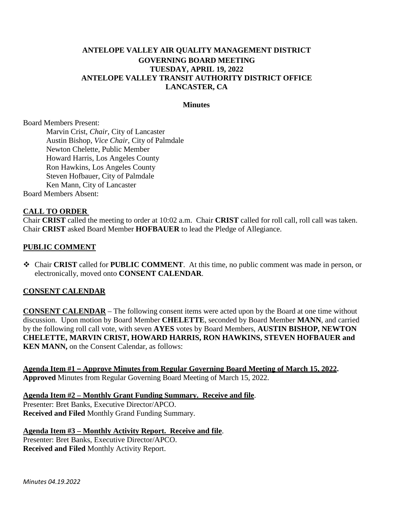# **ANTELOPE VALLEY AIR QUALITY MANAGEMENT DISTRICT GOVERNING BOARD MEETING TUESDAY, APRIL 19, 2022 ANTELOPE VALLEY TRANSIT AUTHORITY DISTRICT OFFICE LANCASTER, CA**

#### **Minutes**

Board Members Present:

Marvin Crist, *Chair*, City of Lancaster Austin Bishop, *Vice Chair*, City of Palmdale Newton Chelette, Public Member Howard Harris, Los Angeles County Ron Hawkins, Los Angeles County Steven Hofbauer, City of Palmdale Ken Mann, City of Lancaster Board Members Absent:

#### **CALL TO ORDER**

Chair **CRIST** called the meeting to order at 10:02 a.m. Chair **CRIST** called for roll call, roll call was taken. Chair **CRIST** asked Board Member **HOFBAUER** to lead the Pledge of Allegiance.

#### **PUBLIC COMMENT**

 Chair **CRIST** called for **PUBLIC COMMENT**. At this time, no public comment was made in person, or electronically, moved onto **CONSENT CALENDAR**.

#### **CONSENT CALENDAR**

**CONSENT CALENDAR** – The following consent items were acted upon by the Board at one time without discussion. Upon motion by Board Member **CHELETTE**, seconded by Board Member **MANN**, and carried by the following roll call vote, with seven **AYES** votes by Board Members, **AUSTIN BISHOP, NEWTON CHELETTE, MARVIN CRIST, HOWARD HARRIS, RON HAWKINS, STEVEN HOFBAUER and KEN MANN,** on the Consent Calendar, as follows:

**Agenda Item #1 – Approve Minutes from Regular Governing Board Meeting of March 15, 2022. Approved** Minutes from Regular Governing Board Meeting of March 15, 2022.

**Agenda Item #2 – Monthly Grant Funding Summary. Receive and file**. Presenter: Bret Banks, Executive Director/APCO. **Received and Filed** Monthly Grand Funding Summary.

**Agenda Item #3 – Monthly Activity Report. Receive and file**. Presenter: Bret Banks, Executive Director/APCO. **Received and Filed** Monthly Activity Report.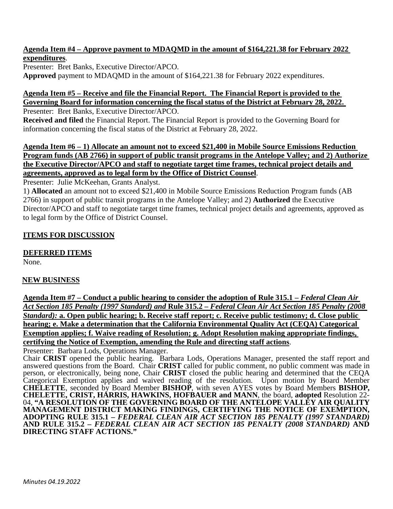#### **Agenda Item #4 – Approve payment to MDAQMD in the amount of \$164,221.38 for February 2022 expenditures**.

Presenter: Bret Banks, Executive Director/APCO. **Approved** payment to MDAQMD in the amount of \$164,221.38 for February 2022 expenditures.

## **Agenda Item #5 – Receive and file the Financial Report. The Financial Report is provided to the Governing Board for information concerning the fiscal status of the District at February 28, 2022.**

Presenter: Bret Banks, Executive Director/APCO.

**Received and filed** the Financial Report. The Financial Report is provided to the Governing Board for information concerning the fiscal status of the District at February 28, 2022.

# **Agenda Item #6 – 1) Allocate an amount not to exceed \$21,400 in Mobile Source Emissions Reduction Program funds (AB 2766) in support of public transit programs in the Antelope Valley; and 2) Authorize the Executive Director/APCO and staff to negotiate target time frames, technical project details and agreements, approved as to legal form by the Office of District Counsel**.

Presenter: Julie McKeehan, Grants Analyst.

1) **Allocated** an amount not to exceed \$21,400 in Mobile Source Emissions Reduction Program funds (AB 2766) in support of public transit programs in the Antelope Valley; and 2) **Authorized** the Executive Director/APCO and staff to negotiate target time frames, technical project details and agreements, approved as to legal form by the Office of District Counsel.

# **ITEMS FOR DISCUSSION**

# **DEFERRED ITEMS**

None.

## **NEW BUSINESS**

**Agenda Item #7 – Conduct a public hearing to consider the adoption of Rule 315.1 –** *Federal Clean Air Act Section 185 Penalty (1997 Standard) and* **Rule 315.2 –** *Federal Clean Air Act Section 185 Penalty (2008 Standard):* **a. Open public hearing; b. Receive staff report; c. Receive public testimony; d. Close public hearing; e. Make a determination that the California Environmental Quality Act (CEQA) Categorical Exemption applies; f. Waive reading of Resolution; g. Adopt Resolution making appropriate findings, certifying the Notice of Exemption, amending the Rule and directing staff actions**.

Presenter: Barbara Lods, Operations Manager.<br>Chair **CRIST** opened the public hearing. Barbara Lods, Operations Manager, presented the staff report and answered questions from the Board. Chair **CRIST** called for public comment, no public comment was made in person, or electronically, being none, Chair **CRIST** closed the public hearing and determined that the CEQA Categorical Exemption applies and waived reading of the resolution. Upon motion by Board Member **CHELETTE**, seconded by Board Member **BISHOP**, with seven AYES votes by Board Members **BISHOP, CHELETTE, CRIST, HARRIS, HAWKINS, HOFBAUER and MANN**, the board, **adopted** Resolution 22- 04, **"A RESOLUTION OF THE GOVERNING BOARD OF THE ANTELOPE VALLEY AIR QUALITY MANAGEMENT DISTRICT MAKING FINDINGS, CERTIFYING THE NOTICE OF EXEMPTION, ADOPTING RULE 315.1 –** *FEDERAL CLEAN AIR ACT SECTION 185 PENALTY (1997 STANDARD)* **AND RULE 315.2 –** *FEDERAL CLEAN AIR ACT SECTION 185 PENALTY (2008 STANDARD)* **AND DIRECTING STAFF ACTIONS."**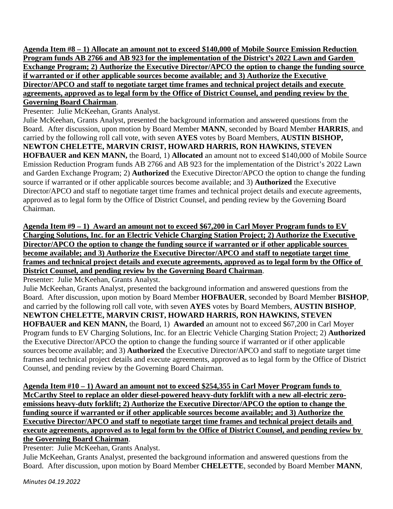**Agenda Item #8 – 1) Allocate an amount not to exceed \$140,000 of Mobile Source Emission Reduction Program funds AB 2766 and AB 923 for the implementation of the District's 2022 Lawn and Garden Exchange Program; 2) Authorize the Executive Director/APCO the option to change the funding source if warranted or if other applicable sources become available; and 3) Authorize the Executive Director/APCO and staff to negotiate target time frames and technical project details and execute agreements, approved as to legal form by the Office of District Counsel, and pending review by the Governing Board Chairman**.

Presenter: Julie McKeehan, Grants Analyst.

Julie McKeehan, Grants Analyst, presented the background information and answered questions from the Board. After discussion, upon motion by Board Member **MANN**, seconded by Board Member **HARRIS**, and carried by the following roll call vote, with seven **AYES** votes by Board Members, **AUSTIN BISHOP, NEWTON CHELETTE, MARVIN CRIST, HOWARD HARRIS, RON HAWKINS, STEVEN HOFBAUER and KEN MANN,** the Board, 1) **Allocated** an amount not to exceed \$140,000 of Mobile Source Emission Reduction Program funds AB 2766 and AB 923 for the implementation of the District's 2022 Lawn and Garden Exchange Program; 2) **Authorized** the Executive Director/APCO the option to change the funding source if warranted or if other applicable sources become available; and 3) **Authorized** the Executive Director/APCO and staff to negotiate target time frames and technical project details and execute agreements, approved as to legal form by the Office of District Counsel, and pending review by the Governing Board Chairman.

**Agenda Item #9 – 1) Award an amount not to exceed \$67,200 in Carl Moyer Program funds to EV Charging Solutions, Inc. for an Electric Vehicle Charging Station Project; 2) Authorize the Executive Director/APCO the option to change the funding source if warranted or if other applicable sources become available; and 3) Authorize the Executive Director/APCO and staff to negotiate target time frames and technical project details and execute agreements, approved as to legal form by the Office of District Counsel, and pending review by the Governing Board Chairman**.

Presenter: Julie McKeehan, Grants Analyst.

Julie McKeehan, Grants Analyst, presented the background information and answered questions from the Board. After discussion, upon motion by Board Member **HOFBAUER**, seconded by Board Member **BISHOP**, and carried by the following roll call vote, with seven **AYES** votes by Board Members, **AUSTIN BISHOP**, **NEWTON CHELETTE, MARVIN CRIST, HOWARD HARRIS, RON HAWKINS, STEVEN HOFBAUER and KEN MANN,** the Board, 1) **Awarded** an amount not to exceed \$67,200 in Carl Moyer Program funds to EV Charging Solutions, Inc. for an Electric Vehicle Charging Station Project; 2) **Authorized**  the Executive Director/APCO the option to change the funding source if warranted or if other applicable sources become available; and 3) **Authorized** the Executive Director/APCO and staff to negotiate target time frames and technical project details and execute agreements, approved as to legal form by the Office of District Counsel, and pending review by the Governing Board Chairman.

**Agenda Item #10 – 1) Award an amount not to exceed \$254,355 in Carl Moyer Program funds to McCarthy Steel to replace an older diesel-powered heavy-duty forklift with a new all-electric zeroemissions heavy-duty forklift; 2) Authorize the Executive Director/APCO the option to change the funding source if warranted or if other applicable sources become available; and 3) Authorize the Executive Director/APCO and staff to negotiate target time frames and technical project details and execute agreements, approved as to legal form by the Office of District Counsel, and pending review by the Governing Board Chairman**.

Presenter: Julie McKeehan, Grants Analyst.

Julie McKeehan, Grants Analyst, presented the background information and answered questions from the Board. After discussion, upon motion by Board Member **CHELETTE**, seconded by Board Member **MANN**,